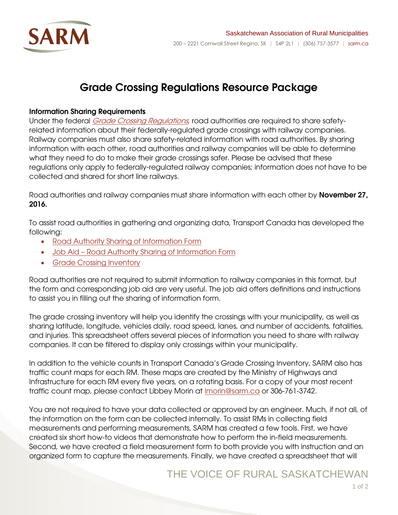

# Grade Crossing Regulations Resource Package

#### Information Sharing Requirements

Under the federal *[Grade Crossing Regulations](http://laws-lois.justice.gc.ca/eng/regulations/SOR-2014-275/page-5.html)*, road authorities are required to share safetyrelated information about their federally-regulated grade crossings with railway companies. Railway companies must also share safety-related information with road authorities. By sharing information with each other, road authorities and railway companies will be able to determine what they need to do to make their grade crossings safer. Please be advised that these regulations only apply to federally-regulated railway companies; information does not have to be collected and shared for short line railways.

Road authorities and railway companies must share information with each other by **November 27,** 2016.

To assist road authorities in gathering and organizing data, Transport Canada has developed the following:

- [Road Authority Sharing of Information Form](http://sarm.ca/+pub/File/Policy%20Bulletin/2016/May/ROAD%20AUTHORITY%20SHARING%20OF%20INFORMATION%20FORM.pdf)
- Job Aid [Road Authority Sharing of Information Form](http://sarm.ca/+pub/File/Policy%20Bulletin/2016/April/ROAD_AUTHORITY_SHARING_OF_INFORMATION_FORM_JOB_AID_V2_2016_-_GRADE_CROSSINGS_REGULATIONS.pdf)
- [Grade Crossing Inventory](http://open.canada.ca/data/en/dataset/d0f54727-6c0b-4e5a-aa04-ea1463cf9f4c)

Road authorities are not required to submit information to railway companies in this format, but the form and corresponding job aid are very useful. The job aid offers definitions and instructions to assist you in filling out the sharing of information form.

The grade crossing inventory will help you identify the crossings with your municipality, as well as sharing latitude, longitude, vehicles daily, road speed, lanes, and number of accidents, fatalities, and injuries. This spreadsheet offers several pieces of information you need to share with railway companies. It can be filtered to display only crossings within your municipality.

In addition to the vehicle counts in Transport Canada's Grade Crossing Inventory, SARM also has traffic count maps for each RM. These maps are created by the Ministry of Highways and Infrastructure for each RM every five years, on a rotating basis. For a copy of your most recent traffic count map, please contact Libbey Morin at [lmorin@sarm.ca](mailto:lmorin@sarm.ca) or 306-761-3742.

You are not required to have your data collected or approved by an engineer. Much, if not all, of the information on the form can be collected internally. To assist RMs in collecting field measurements and performing measurements, SARM has created a few tools. First, we have created six short how-to videos that demonstrate how to perform the in-field measurements. Second, we have created a field measurement form to both provide you with instruction and an organized form to capture the measurements. Finally, we have created a spreadsheet that will

### THE VOICE OF RURAL SASKATCHEWAN